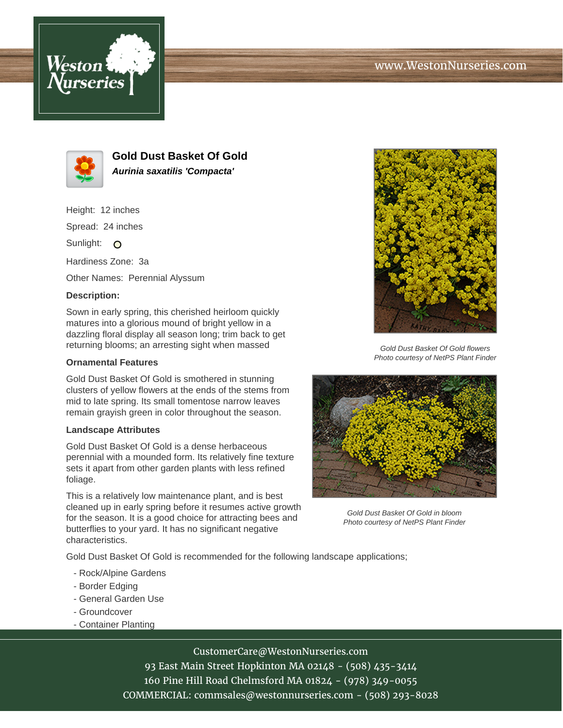



**Gold Dust Basket Of Gold Aurinia saxatilis 'Compacta'**

Height: 12 inches

Spread: 24 inches

Sunlight: O

Hardiness Zone: 3a

Other Names: Perennial Alyssum

## **Description:**

Sown in early spring, this cherished heirloom quickly matures into a glorious mound of bright yellow in a dazzling floral display all season long; trim back to get returning blooms; an arresting sight when massed

## **Ornamental Features**

Gold Dust Basket Of Gold is smothered in stunning clusters of yellow flowers at the ends of the stems from mid to late spring. Its small tomentose narrow leaves remain grayish green in color throughout the season.

## **Landscape Attributes**

Gold Dust Basket Of Gold is a dense herbaceous perennial with a mounded form. Its relatively fine texture sets it apart from other garden plants with less refined foliage.

This is a relatively low maintenance plant, and is best cleaned up in early spring before it resumes active growth for the season. It is a good choice for attracting bees and butterflies to your yard. It has no significant negative characteristics.

Gold Dust Basket Of Gold flowers Photo courtesy of NetPS Plant Finder



Gold Dust Basket Of Gold in bloom Photo courtesy of NetPS Plant Finder

Gold Dust Basket Of Gold is recommended for the following landscape applications;

- Rock/Alpine Gardens
- Border Edging
- General Garden Use
- Groundcover
- Container Planting

CustomerCare@WestonNurseries.com

93 East Main Street Hopkinton MA 02148 - (508) 435-3414 160 Pine Hill Road Chelmsford MA 01824 - (978) 349-0055 COMMERCIAL: commsales@westonnurseries.com - (508) 293-8028